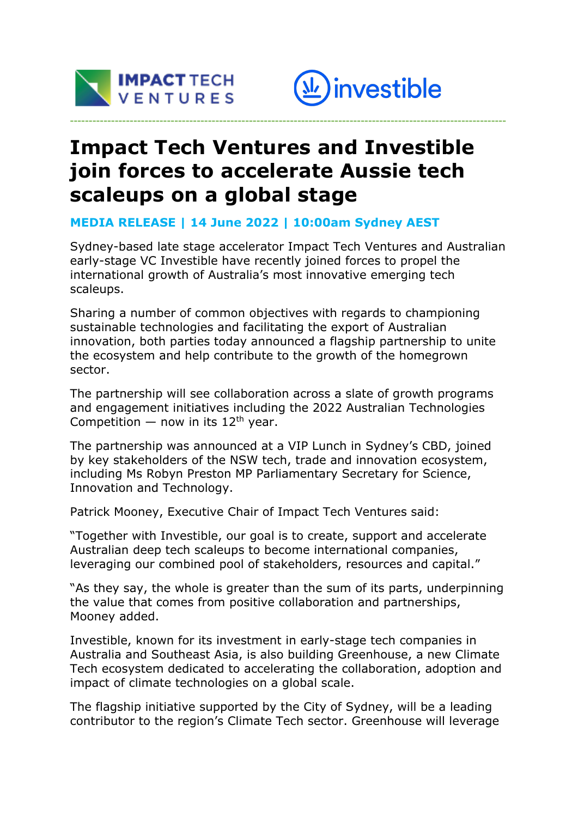



# **Impact Tech Ventures and Investible join forces to accelerate Aussie tech scaleups on a global stage**

**---------------------------------------------------------------------------------------------------------------------**

#### **MEDIA RELEASE | 14 June 2022 | 10:00am Sydney AEST**

Sydney-based late stage accelerator Impact Tech Ventures and Australian early-stage VC Investible have recently joined forces to propel the international growth of Australia's most innovative emerging tech scaleups.

Sharing a number of common objectives with regards to championing sustainable technologies and facilitating the export of Australian innovation, both parties today announced a flagship partnership to unite the ecosystem and help contribute to the growth of the homegrown sector.

The partnership will see collaboration across a slate of growth programs and engagement initiatives including the 2022 Australian Technologies Competition — now in its  $12<sup>th</sup>$  year.

The partnership was announced at a VIP Lunch in Sydney's CBD, joined by key stakeholders of the NSW tech, trade and innovation ecosystem, including Ms Robyn Preston MP Parliamentary Secretary for Science, Innovation and Technology.

Patrick Mooney, Executive Chair of Impact Tech Ventures said:

"Together with Investible, our goal is to create, support and accelerate Australian deep tech scaleups to become international companies, leveraging our combined pool of stakeholders, resources and capital."

"As they say, the whole is greater than the sum of its parts, underpinning the value that comes from positive collaboration and partnerships, Mooney added.

Investible, known for its investment in early-stage tech companies in Australia and Southeast Asia, is also building Greenhouse, a new Climate Tech ecosystem dedicated to accelerating the collaboration, adoption and impact of climate technologies on a global scale.

The flagship initiative supported by the City of Sydney, will be a leading contributor to the region's Climate Tech sector. Greenhouse will leverage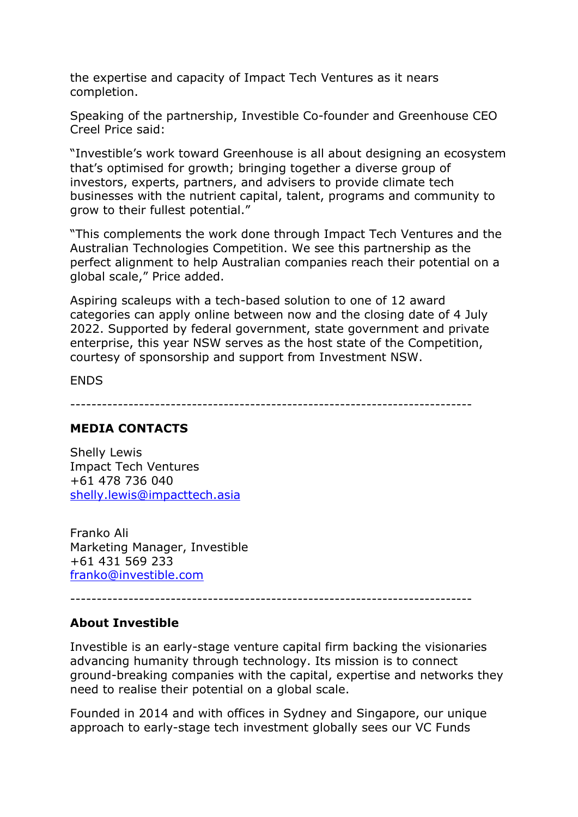the expertise and capacity of Impact Tech Ventures as it nears completion.

Speaking of the partnership, Investible Co-founder and Greenhouse CEO Creel Price said:

"Investible's work toward Greenhouse is all about designing an ecosystem that's optimised for growth; bringing together a diverse group of investors, experts, partners, and advisers to provide climate tech businesses with the nutrient capital, talent, programs and community to grow to their fullest potential."

"This complements the work done through Impact Tech Ventures and the Australian Technologies Competition. We see this partnership as the perfect alignment to help Australian companies reach their potential on a global scale," Price added.

Aspiring scaleups with a tech-based solution to one of 12 award categories can apply online between now and the closing date of 4 July 2022. Supported by federal government, state government and private enterprise, this year NSW serves as the host state of the Competition, courtesy of sponsorship and support from Investment NSW.

ENDS

----------------------------------------------------------------------------

#### **MEDIA CONTACTS**

Shelly Lewis Impact Tech Ventures +61 478 736 040 shelly.lewis@impacttech.asia

Franko Ali Marketing Manager, Investible +61 431 569 233 franko@investible.com

----------------------------------------------------------------------------

## **About Investible**

Investible is an early-stage venture capital firm backing the visionaries advancing humanity through technology. Its mission is to connect ground-breaking companies with the capital, expertise and networks they need to realise their potential on a global scale.

Founded in 2014 and with offices in Sydney and Singapore, our unique approach to early-stage tech investment globally sees our VC Funds